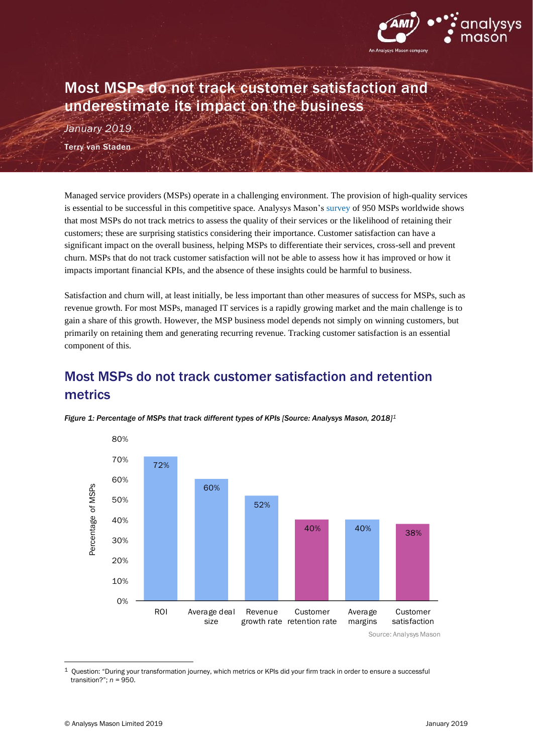

## Most MSPs do not track customer satisfaction and underestimate its impact on the business

*January 2019* Terry van Staden

Managed service providers (MSPs) operate in a challenging environment. The provision of high-quality services is essential to be successful in this competitive space. Analysys Mason'[s survey](http://www.analysysmason.com/Research/Content/Short-reports/msp-business-practices-ren03/) of 950 MSPs worldwide shows that most MSPs do not track metrics to assess the quality of their services or the likelihood of retaining their customers; these are surprising statistics considering their importance. Customer satisfaction can have a significant impact on the overall business, helping MSPs to differentiate their services, cross-sell and prevent churn. MSPs that do not track customer satisfaction will not be able to assess how it has improved or how it impacts important financial KPIs, and the absence of these insights could be harmful to business.

Satisfaction and churn will, at least initially, be less important than other measures of success for MSPs, such as revenue growth. For most MSPs, managed IT services is a rapidly growing market and the main challenge is to gain a share of this growth. However, the MSP business model depends not simply on winning customers, but primarily on retaining them and generating recurring revenue. Tracking customer satisfaction is an essential component of this.

## Most MSPs do not track customer satisfaction and retention metrics



*Figure 1: Percentage of MSPs that track different types of KPIs [Source: Analysys Mason, 2018]<sup>1</sup>*

Source: Analysys Mason

<sup>1</sup> Question: "During your transformation journey, which metrics or KPIs did your firm track in order to ensure a successful transition?"; *n =* 950.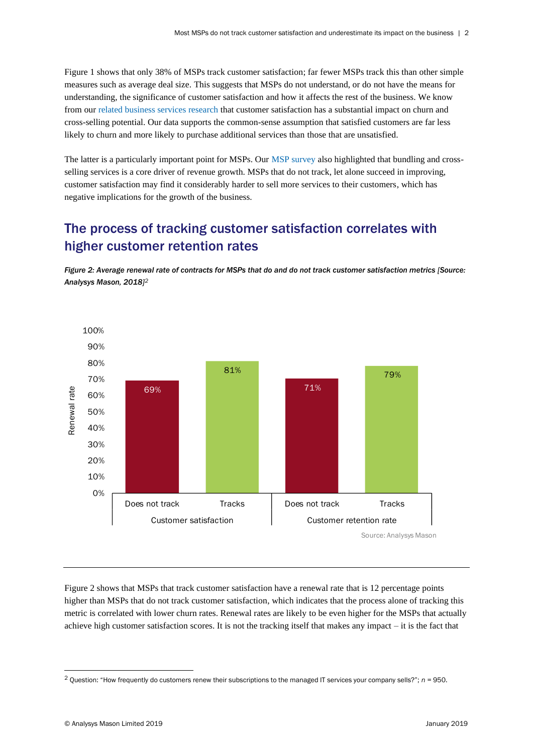Figure 1 shows that only 38% of MSPs track customer satisfaction; far fewer MSPs track this than other simple measures such as average deal size. This suggests that MSPs do not understand, or do not have the means for understanding, the significance of customer satisfaction and how it affects the rest of the business. We know from our [related business services](http://www.analysysmason.com/Research/Content/Comments/Enterprise-survey-satisfaction-RDMZ0-REN01-REN02/) research that customer satisfaction has a substantial impact on churn and cross-selling potential. Our data supports the common-sense assumption that satisfied customers are far less likely to churn and more likely to purchase additional services than those that are unsatisfied.

The latter is a particularly important point for MSPs. Our [MSP survey](http://www.analysysmason.com/Research/Content/Short-reports/msp-business-practices-ren03/) also highlighted that bundling and crossselling services is a core driver of revenue growth. MSPs that do not track, let alone succeed in improving, customer satisfaction may find it considerably harder to sell more services to their customers, which has negative implications for the growth of the business.

## The process of tracking customer satisfaction correlates with higher customer retention rates

*Figure 2: Average renewal rate of contracts for MSPs that do and do not track customer satisfaction metrics [Source: Analysys Mason, 2018]<sup>2</sup>*



Figure 2 shows that MSPs that track customer satisfaction have a renewal rate that is 12 percentage points higher than MSPs that do not track customer satisfaction, which indicates that the process alone of tracking this metric is correlated with lower churn rates. Renewal rates are likely to be even higher for the MSPs that actually achieve high customer satisfaction scores. It is not the tracking itself that makes any impact – it is the fact that

<sup>2</sup> Question: "How frequently do customers renew their subscriptions to the managed IT services your company sells?"; *n =* 950.